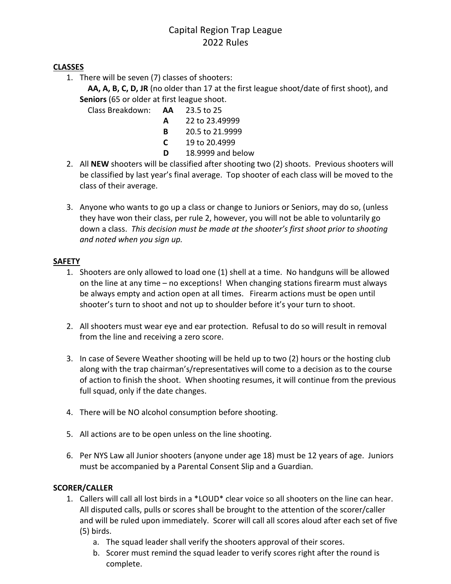# Capital Region Trap League 2022 Rules

# **CLASSES**

1. There will be seven (7) classes of shooters:

 **AA, A, B, C, D, JR** (no older than 17 at the first league shoot/date of first shoot), and **Seniors** (65 or older at first league shoot.

Class Breakdown: **AA** 23.5 to 25

- **A** 22 to 23.49999
- **B** 20.5 to 21.9999
- **C** 19 to 20.4999
- **D** 18.9999 and below
- 2. All **NEW** shooters will be classified after shooting two (2) shoots. Previous shooters will be classified by last year's final average. Top shooter of each class will be moved to the class of their average.
- 3. Anyone who wants to go up a class or change to Juniors or Seniors, may do so, (unless they have won their class, per rule 2, however, you will not be able to voluntarily go down a class. *This decision must be made at the shooter's first shoot prior to shooting and noted when you sign up.*

# **SAFETY**

- 1. Shooters are only allowed to load one (1) shell at a time. No handguns will be allowed on the line at any time – no exceptions! When changing stations firearm must always be always empty and action open at all times. Firearm actions must be open until shooter's turn to shoot and not up to shoulder before it's your turn to shoot.
- 2. All shooters must wear eye and ear protection. Refusal to do so will result in removal from the line and receiving a zero score.
- 3. In case of Severe Weather shooting will be held up to two (2) hours or the hosting club along with the trap chairman's/representatives will come to a decision as to the course of action to finish the shoot. When shooting resumes, it will continue from the previous full squad, only if the date changes.
- 4. There will be NO alcohol consumption before shooting.
- 5. All actions are to be open unless on the line shooting.
- 6. Per NYS Law all Junior shooters (anyone under age 18) must be 12 years of age. Juniors must be accompanied by a Parental Consent Slip and a Guardian.

# **SCORER/CALLER**

- 1. Callers will call all lost birds in a \*LOUD\* clear voice so all shooters on the line can hear. All disputed calls, pulls or scores shall be brought to the attention of the scorer/caller and will be ruled upon immediately. Scorer will call all scores aloud after each set of five (5) birds.
	- a. The squad leader shall verify the shooters approval of their scores.
	- b. Scorer must remind the squad leader to verify scores right after the round is complete.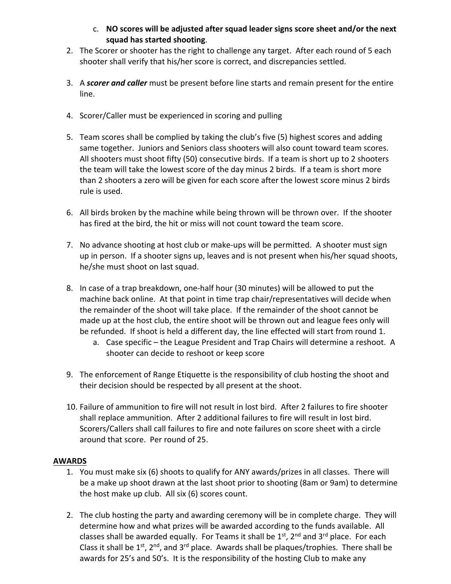- c. **NO scores will be adjusted after squad leader signs score sheet and/or the next squad has started shooting**.
- 2. The Scorer or shooter has the right to challenge any target. After each round of 5 each shooter shall verify that his/her score is correct, and discrepancies settled.
- 3. A *scorer and caller* must be present before line starts and remain present for the entire line.
- 4. Scorer/Caller must be experienced in scoring and pulling
- 5. Team scores shall be complied by taking the club's five (5) highest scores and adding same together. Juniors and Seniors class shooters will also count toward team scores. All shooters must shoot fifty (50) consecutive birds. If a team is short up to 2 shooters the team will take the lowest score of the day minus 2 birds. If a team is short more than 2 shooters a zero will be given for each score after the lowest score minus 2 birds rule is used.
- 6. All birds broken by the machine while being thrown will be thrown over. If the shooter has fired at the bird, the hit or miss will not count toward the team score.
- 7. No advance shooting at host club or make-ups will be permitted. A shooter must sign up in person. If a shooter signs up, leaves and is not present when his/her squad shoots, he/she must shoot on last squad.
- 8. In case of a trap breakdown, one-half hour (30 minutes) will be allowed to put the machine back online. At that point in time trap chair/representatives will decide when the remainder of the shoot will take place. If the remainder of the shoot cannot be made up at the host club, the entire shoot will be thrown out and league fees only will be refunded. If shoot is held a different day, the line effected will start from round 1.
	- a. Case specific the League President and Trap Chairs will determine a reshoot. A shooter can decide to reshoot or keep score
- 9. The enforcement of Range Etiquette is the responsibility of club hosting the shoot and their decision should be respected by all present at the shoot.
- 10. Failure of ammunition to fire will not result in lost bird. After 2 failures to fire shooter shall replace ammunition. After 2 additional failures to fire will result in lost bird. Scorers/Callers shall call failures to fire and note failures on score sheet with a circle around that score. Per round of 25.

# **AWARDS**

- 1. You must make six (6) shoots to qualify for ANY awards/prizes in all classes. There will be a make up shoot drawn at the last shoot prior to shooting (8am or 9am) to determine the host make up club. All six (6) scores count.
- 2. The club hosting the party and awarding ceremony will be in complete charge. They will determine how and what prizes will be awarded according to the funds available. All classes shall be awarded equally. For Teams it shall be  $1<sup>st</sup>$ ,  $2<sup>nd</sup>$  and  $3<sup>rd</sup>$  place. For each Class it shall be  $1^{st}$ ,  $2^{nd}$ , and  $3^{rd}$  place. Awards shall be plaques/trophies. There shall be awards for 25's and 50's. It is the responsibility of the hosting Club to make any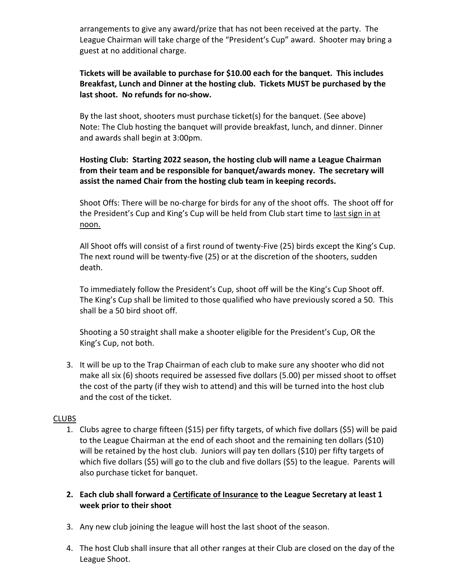arrangements to give any award/prize that has not been received at the party. The League Chairman will take charge of the "President's Cup" award. Shooter may bring a guest at no additional charge.

# **Tickets will be available to purchase for \$10.00 each for the banquet. This includes Breakfast, Lunch and Dinner at the hosting club. Tickets MUST be purchased by the last shoot. No refunds for no-show.**

By the last shoot, shooters must purchase ticket(s) for the banquet. (See above) Note: The Club hosting the banquet will provide breakfast, lunch, and dinner. Dinner and awards shall begin at 3:00pm.

# **Hosting Club: Starting 2022 season, the hosting club will name a League Chairman from their team and be responsible for banquet/awards money. The secretary will assist the named Chair from the hosting club team in keeping records.**

Shoot Offs: There will be no-charge for birds for any of the shoot offs. The shoot off for the President's Cup and King's Cup will be held from Club start time to last sign in at noon.

All Shoot offs will consist of a first round of twenty-Five (25) birds except the King's Cup. The next round will be twenty-five (25) or at the discretion of the shooters, sudden death.

To immediately follow the President's Cup, shoot off will be the King's Cup Shoot off. The King's Cup shall be limited to those qualified who have previously scored a 50. This shall be a 50 bird shoot off.

Shooting a 50 straight shall make a shooter eligible for the President's Cup, OR the King's Cup, not both.

3. It will be up to the Trap Chairman of each club to make sure any shooter who did not make all six (6) shoots required be assessed five dollars (5.00) per missed shoot to offset the cost of the party (if they wish to attend) and this will be turned into the host club and the cost of the ticket.

# CLUBS

- 1. Clubs agree to charge fifteen (\$15) per fifty targets, of which five dollars (\$5) will be paid to the League Chairman at the end of each shoot and the remaining ten dollars (\$10) will be retained by the host club. Juniors will pay ten dollars (\$10) per fifty targets of which five dollars (\$5) will go to the club and five dollars (\$5) to the league. Parents will also purchase ticket for banquet.
- **2. Each club shall forward a Certificate of Insurance to the League Secretary at least 1 week prior to their shoot**
- 3. Any new club joining the league will host the last shoot of the season.
- 4. The host Club shall insure that all other ranges at their Club are closed on the day of the League Shoot.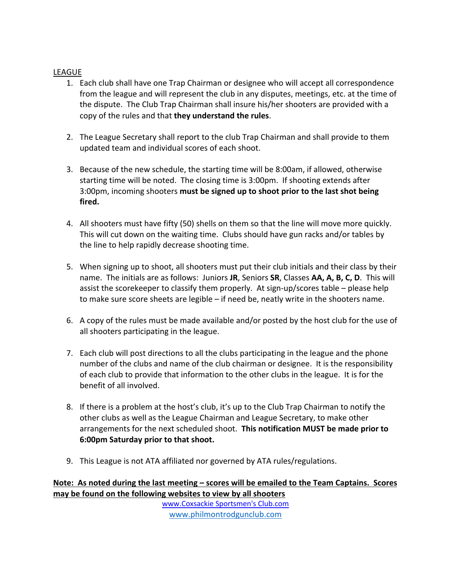#### **LEAGUE**

- 1. Each club shall have one Trap Chairman or designee who will accept all correspondence from the league and will represent the club in any disputes, meetings, etc. at the time of the dispute. The Club Trap Chairman shall insure his/her shooters are provided with a copy of the rules and that **they understand the rules**.
- 2. The League Secretary shall report to the club Trap Chairman and shall provide to them updated team and individual scores of each shoot.
- 3. Because of the new schedule, the starting time will be 8:00am, if allowed, otherwise starting time will be noted. The closing time is 3:00pm. If shooting extends after 3:00pm, incoming shooters **must be signed up to shoot prior to the last shot being fired.**
- 4. All shooters must have fifty (50) shells on them so that the line will move more quickly. This will cut down on the waiting time. Clubs should have gun racks and/or tables by the line to help rapidly decrease shooting time.
- 5. When signing up to shoot, all shooters must put their club initials and their class by their name. The initials are as follows: Juniors **JR**, Seniors **SR**, Classes **AA, A, B, C, D**. This will assist the scorekeeper to classify them properly. At sign-up/scores table – please help to make sure score sheets are legible – if need be, neatly write in the shooters name.
- 6. A copy of the rules must be made available and/or posted by the host club for the use of all shooters participating in the league.
- 7. Each club will post directions to all the clubs participating in the league and the phone number of the clubs and name of the club chairman or designee. It is the responsibility of each club to provide that information to the other clubs in the league. It is for the benefit of all involved.
- 8. If there is a problem at the host's club, it's up to the Club Trap Chairman to notify the other clubs as well as the League Chairman and League Secretary, to make other arrangements for the next scheduled shoot. **This notification MUST be made prior to 6:00pm Saturday prior to that shoot.**
- 9. This League is not ATA affiliated nor governed by ATA rules/regulations.

**Note: As noted during the last meeting – scores will be emailed to the Team Captains. Scores may be found on the following websites to view by all shooters**

www.Coxsackie Sportsmen's Club.com www.philmontrodgunclub.com